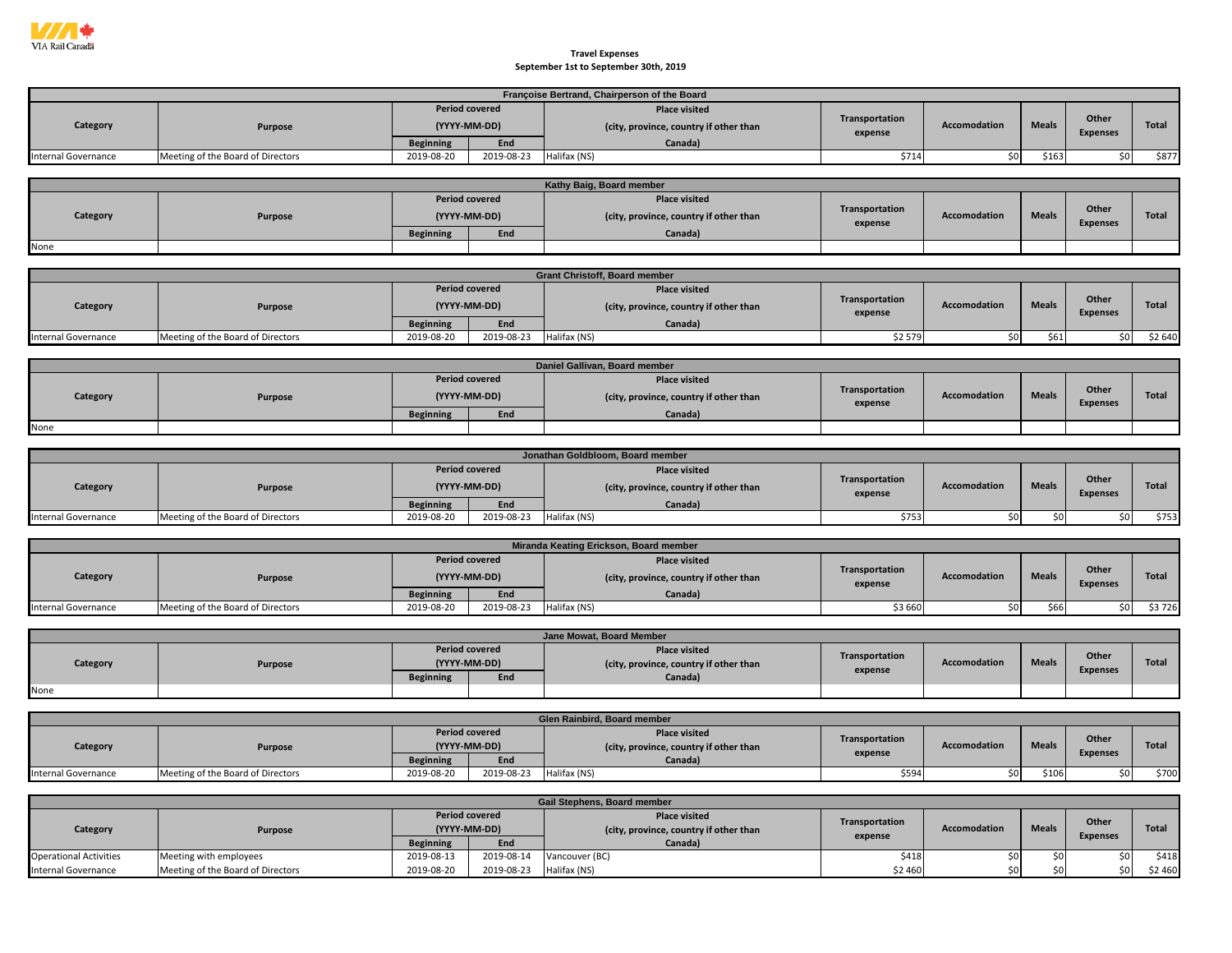

## **September 1st to September 30th, 2019 Travel Expenses**

|                            |                                   |                                |                       | Françoise Bertrand, Chairperson of the Board |                |                     |              |                 |              |
|----------------------------|-----------------------------------|--------------------------------|-----------------------|----------------------------------------------|----------------|---------------------|--------------|-----------------|--------------|
|                            |                                   |                                | <b>Period covered</b> | <b>Place visited</b>                         |                |                     |              |                 |              |
| Category                   | <b>Purpose</b>                    |                                | (YYYY-MM-DD)          | (city, province, country if other than       | Transportation | Accomodation        | <b>Meals</b> | Other           | Total        |
|                            |                                   |                                |                       |                                              | expense        |                     |              | <b>Expenses</b> |              |
| Internal Governance        | Meeting of the Board of Directors | <b>Beginning</b><br>2019-08-20 | End<br>2019-08-23     | Canada)<br>Halifax (NS)                      | \$714          | \$0                 | \$163        | \$0             | \$877        |
|                            |                                   |                                |                       |                                              |                |                     |              |                 |              |
|                            |                                   |                                |                       | Kathy Baig, Board member                     |                |                     |              |                 |              |
|                            |                                   |                                | <b>Period covered</b> | <b>Place visited</b>                         |                |                     |              |                 |              |
|                            |                                   |                                |                       |                                              | Transportation |                     |              | Other           |              |
| Category                   | <b>Purpose</b>                    |                                | (YYYY-MM-DD)          | (city, province, country if other than       | expense        | <b>Accomodation</b> | <b>Meals</b> | <b>Expenses</b> | <b>Total</b> |
|                            |                                   | <b>Beginning</b>               | End                   | Canada)                                      |                |                     |              |                 |              |
| None                       |                                   |                                |                       |                                              |                |                     |              |                 |              |
|                            |                                   |                                |                       |                                              |                |                     |              |                 |              |
|                            |                                   |                                |                       | <b>Grant Christoff, Board member</b>         |                |                     |              |                 |              |
|                            |                                   |                                | <b>Period covered</b> | <b>Place visited</b>                         |                |                     |              |                 |              |
| Category                   | <b>Purpose</b>                    |                                | (YYYY-MM-DD)          | (city, province, country if other than       | Transportation | Accomodation        | <b>Meals</b> | Other           | Total        |
|                            |                                   |                                |                       |                                              | expense        |                     |              | <b>Expenses</b> |              |
| <b>Internal Governance</b> |                                   | <b>Beginning</b><br>2019-08-20 | End<br>2019-08-23     | Canada)                                      | \$2579         |                     |              |                 |              |
|                            | Meeting of the Board of Directors |                                |                       | Halifax (NS)                                 |                | \$0                 | \$61         | \$0             | \$2 640      |
|                            |                                   |                                |                       |                                              |                |                     |              |                 |              |
|                            |                                   |                                |                       | Daniel Gallivan, Board member                |                |                     |              |                 |              |
|                            |                                   |                                | <b>Period covered</b> | <b>Place visited</b>                         | Transportation |                     |              | Other           |              |
| Category                   | Purpose                           |                                | (YYYY-MM-DD)          | (city, province, country if other than       | expense        | Accomodation        | <b>Meals</b> | <b>Expenses</b> | Total        |
|                            |                                   | <b>Beginning</b>               | End                   | Canada)                                      |                |                     |              |                 |              |
| None                       |                                   |                                |                       |                                              |                |                     |              |                 |              |
|                            |                                   |                                |                       |                                              |                |                     |              |                 |              |
|                            |                                   |                                |                       | Jonathan Goldbloom, Board member             |                |                     |              |                 |              |
|                            |                                   |                                | <b>Period covered</b> | <b>Place visited</b>                         |                |                     |              |                 |              |
| Category                   | <b>Purpose</b>                    |                                | (YYYY-MM-DD)          | (city, province, country if other than       | Transportation | <b>Accomodation</b> | <b>Meals</b> | Other           | <b>Total</b> |
|                            |                                   |                                |                       |                                              | expense        |                     |              | <b>Expenses</b> |              |
|                            |                                   | <b>Beginning</b>               | End                   | Canada)                                      |                |                     |              |                 |              |
| <b>Internal Governance</b> | Meeting of the Board of Directors | 2019-08-20                     | 2019-08-23            | Halifax (NS)                                 | \$753          | \$0                 | \$0          | \$0             | \$753        |
|                            |                                   |                                |                       |                                              |                |                     |              |                 |              |
|                            |                                   |                                |                       | Miranda Keating Erickson, Board member       |                |                     |              |                 |              |
|                            |                                   |                                | <b>Period covered</b> | <b>Place visited</b>                         | Transportation |                     |              | Other           |              |
| Category                   | <b>Purpose</b>                    |                                | (YYYY-MM-DD)          | (city, province, country if other than       | expense        | Accomodation        | <b>Meals</b> | <b>Expenses</b> | Total        |
|                            |                                   | <b>Beginning</b>               | End                   | Canada)                                      |                |                     |              |                 |              |
| Internal Governance        | Meeting of the Board of Directors | 2019-08-20                     | 2019-08-23            | Halifax (NS)                                 | \$3 660        | \$0                 | \$66         | \$0             | \$3726       |
|                            |                                   |                                |                       |                                              |                |                     |              |                 |              |
|                            |                                   |                                |                       | Jane Mowat, Board Member                     |                |                     |              |                 |              |
|                            |                                   |                                | <b>Period covered</b> | <b>Place visited</b>                         |                |                     |              |                 |              |
| Category                   | <b>Purpose</b>                    |                                | (YYYY-MM-DD)          | (city, province, country if other than       | Transportation | <b>Accomodation</b> | <b>Meals</b> | Other           | <b>Total</b> |
|                            |                                   | <b>Beginning</b>               | End                   | Canada)                                      | expense        |                     |              | <b>Expenses</b> |              |
| None                       |                                   |                                |                       |                                              |                |                     |              |                 |              |
|                            |                                   |                                |                       |                                              |                |                     |              |                 |              |
|                            |                                   |                                |                       | Glen Rainbird, Board member                  |                |                     |              |                 |              |
|                            |                                   |                                | <b>Period covered</b> | <b>Place visited</b>                         |                |                     |              |                 |              |
| Category                   | <b>Purpose</b>                    |                                | (YYYY-MM-DD)          | (city, province, country if other than       | Transportation | <b>Accomodation</b> | <b>Meals</b> | Other           | <b>Total</b> |
|                            |                                   | <b>Beginning</b>               | End                   | Canada)                                      | expense        |                     |              | <b>Expenses</b> |              |
| <b>Internal Governance</b> | Meeting of the Board of Directors | 2019-08-20                     | 2019-08-23            | Halifax (NS)                                 | \$594          | \$0                 | \$106        | \$0             | \$700        |
|                            |                                   |                                |                       |                                              |                |                     |              |                 |              |
|                            |                                   |                                |                       | Gail Stephens, Board member                  |                |                     |              |                 |              |
|                            |                                   |                                | <b>Period covered</b> | <b>Place visited</b>                         |                |                     |              |                 |              |
| Category                   | <b>Purpose</b>                    |                                | (YYYY-MM-DD)          | (city, province, country if other than       | Transportation | <b>Accomodation</b> | <b>Meals</b> | Other           | <b>Total</b> |
|                            |                                   | <b>Beginning</b>               | End                   | Canada)                                      | expense        |                     |              | <b>Expenses</b> |              |

Operational Activities |Meeting with employees | 2019-08-13 | 2019-08-14 |Vancouver (BC) \$418 \$418 \$418 \$0 \$0 \$0 \$0 \$0 \$18 Internal Governance |Meeting of the Board of Directors | 2019-08-20 | 2019-08-23 |Halifax (NS) \$2 460 \$0 \$2 460 \$0 \$2 460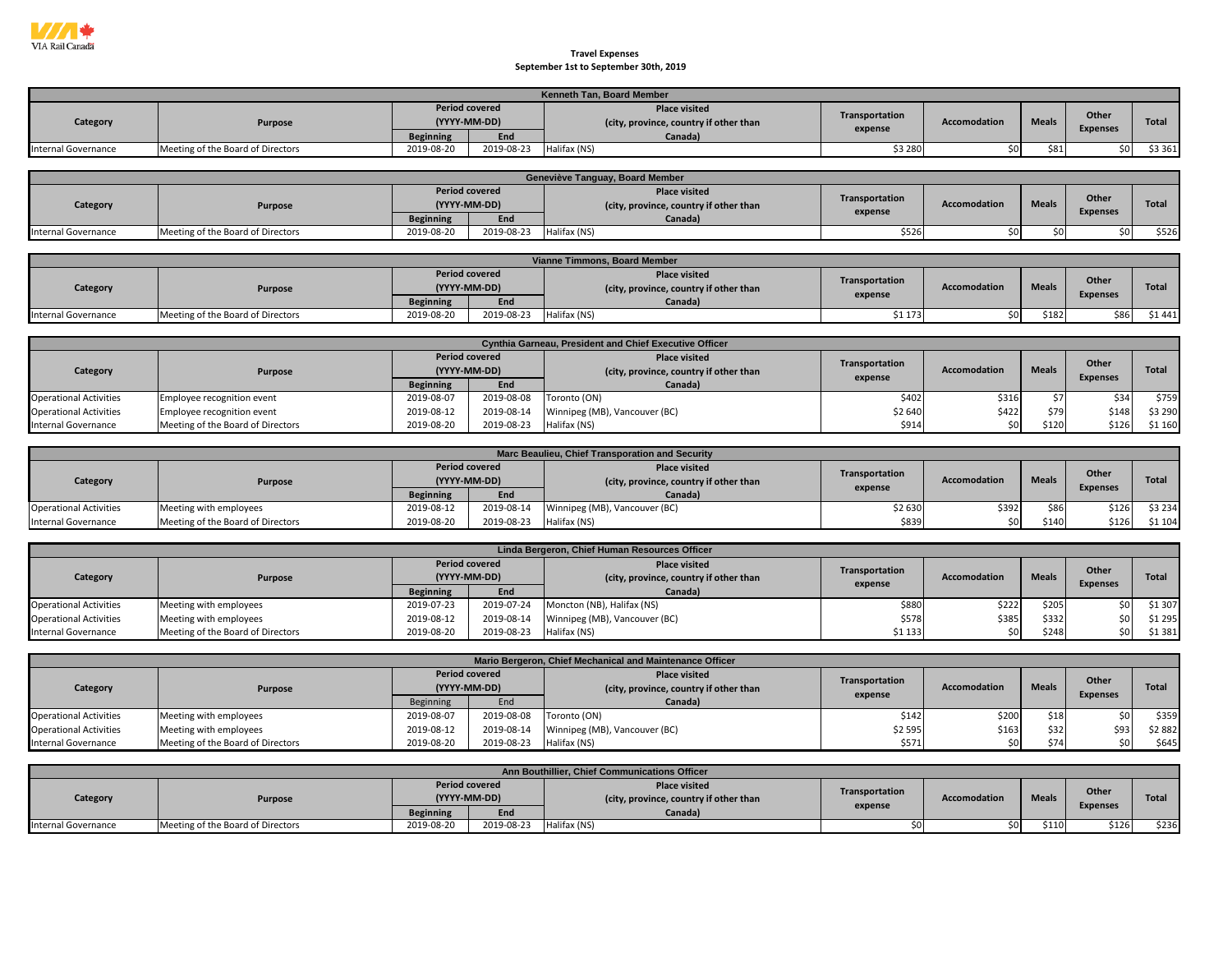

## **September 1st to September 30th, 2019 Travel Expenses**

|                            | <b>Kenneth Tan. Board Member</b>  |                  |                                       |                                                                |                |                     |              |                          |         |  |  |  |  |
|----------------------------|-----------------------------------|------------------|---------------------------------------|----------------------------------------------------------------|----------------|---------------------|--------------|--------------------------|---------|--|--|--|--|
| Category                   | <b>Purpose</b>                    |                  | <b>Period covered</b><br>(YYYY-MM-DD) | <b>Place visited</b><br>(city, province, country if other than | Transportation | <b>Accomodation</b> | <b>Meals</b> | Other<br><b>Expenses</b> | Total   |  |  |  |  |
|                            |                                   | <b>Beginning</b> | End                                   | Canada)                                                        | expense        |                     |              |                          |         |  |  |  |  |
| <b>Internal Governance</b> | Meeting of the Board of Directors | 2019-08-20       | 2019-08-23                            | Halifax (NS)                                                   | \$3 280        |                     | \$81         |                          | \$3 361 |  |  |  |  |

|                     | Geneviève Tanguay, Board Member   |                  |                                       |                                                                |                |                     |              |                 |              |  |  |  |  |
|---------------------|-----------------------------------|------------------|---------------------------------------|----------------------------------------------------------------|----------------|---------------------|--------------|-----------------|--------------|--|--|--|--|
| Category            | <b>Purpose</b>                    |                  | <b>Period covered</b><br>(YYYY-MM-DD) | <b>Place visited</b><br>(city, province, country if other than | Transportation | <b>Accomodation</b> | <b>Meals</b> | Other           | <b>Total</b> |  |  |  |  |
|                     |                                   | <b>Beginning</b> | End                                   | Canada)                                                        | expense        |                     |              | <b>Expenses</b> |              |  |  |  |  |
| Internal Governance | Meeting of the Board of Directors | 2019-08-20       | 2019-08-23                            | Halifax (NS)                                                   | \$526          |                     | ¢∩.          |                 | \$526        |  |  |  |  |

|                     | Vianne Timmons, Board Member      |                  |                                       |                                                                |                           |                     |              |                          |              |  |  |  |
|---------------------|-----------------------------------|------------------|---------------------------------------|----------------------------------------------------------------|---------------------------|---------------------|--------------|--------------------------|--------------|--|--|--|
| Category            | Purpose                           |                  | <b>Period covered</b><br>(YYYY-MM-DD) | <b>Place visited</b><br>(city, province, country if other than | Transportation<br>expense | <b>Accomodation</b> | <b>Meals</b> | Other<br><b>Expenses</b> | <b>Total</b> |  |  |  |
|                     |                                   | <b>Beginning</b> | End                                   | Canada)                                                        |                           |                     |              |                          |              |  |  |  |
| Internal Governance | Meeting of the Board of Directors | 2019-08-20       | 2019-08-23                            | Halifax (NS)                                                   | \$1 173                   |                     | \$182        |                          | \$1 441      |  |  |  |

|                               | <b>Cynthia Garneau, President and Chief Executive Officer</b> |                  |                                       |                                                                |                |              |              |                          |         |  |  |  |  |
|-------------------------------|---------------------------------------------------------------|------------------|---------------------------------------|----------------------------------------------------------------|----------------|--------------|--------------|--------------------------|---------|--|--|--|--|
| Category                      | <b>Purpose</b>                                                |                  | <b>Period covered</b><br>(YYYY-MM-DD) | <b>Place visited</b><br>(city, province, country if other than | Transportation | Accomodation | <b>Meals</b> | Other<br><b>Expenses</b> | Total   |  |  |  |  |
|                               |                                                               | <b>Beginning</b> | End                                   | Canada)                                                        | expense        |              |              |                          |         |  |  |  |  |
| <b>Operational Activities</b> | Employee recognition event                                    | 2019-08-07       | 2019-08-08                            | Toronto (ON)                                                   | \$402          | \$31         |              | 534                      | \$759   |  |  |  |  |
| <b>Operational Activities</b> | Employee recognition event                                    | 2019-08-12       | 2019-08-14                            | Winnipeg (MB), Vancouver (BC)                                  | \$2 640        | \$422        |              | \$148                    | \$3 290 |  |  |  |  |
| Internal Governance           | Meeting of the Board of Directors                             | 2019-08-20       | 2019-08-23                            | Halifax (NS)                                                   | \$914          |              | \$120        | \$126                    | \$1 160 |  |  |  |  |

|                               | Marc Beaulieu, Chief Transporation and Security |                                       |            |                                                                |                |                     |              |                 |              |  |  |  |
|-------------------------------|-------------------------------------------------|---------------------------------------|------------|----------------------------------------------------------------|----------------|---------------------|--------------|-----------------|--------------|--|--|--|
| Category                      | <b>Purpose</b>                                  | <b>Period covered</b><br>(YYYY-MM-DD) |            | <b>Place visited</b><br>(city, province, country if other than | Transportation | <b>Accomodation</b> | <b>Meals</b> | Other           | <b>Total</b> |  |  |  |
|                               |                                                 | <b>Beginning</b>                      | End        | Canada)                                                        | expense        |                     |              | <b>Expenses</b> |              |  |  |  |
| <b>Operational Activities</b> | Meeting with employees                          | 2019-08-12                            | 2019-08-14 | Winnipeg (MB), Vancouver (BC)                                  | \$2 630        | \$392               | \$86         | \$126           | \$3 234      |  |  |  |
| Internal Governance           | Meeting of the Board of Directors               | 2019-08-20                            | 2019-08-23 | Halifax (NS)                                                   | \$839          | \$0                 | \$140        | \$126           | \$1 104      |  |  |  |

|                               | Linda Bergeron, Chief Human Resources Officer |                       |              |                                                                |                |                     |              |                 |         |  |  |  |
|-------------------------------|-----------------------------------------------|-----------------------|--------------|----------------------------------------------------------------|----------------|---------------------|--------------|-----------------|---------|--|--|--|
| Category                      | Purpose                                       | <b>Period covered</b> | (YYYY-MM-DD) | <b>Place visited</b><br>(city, province, country if other than | Transportation | <b>Accomodation</b> | <b>Meals</b> | Other           | Total   |  |  |  |
|                               |                                               | <b>Beginning</b>      | End          | Canada)                                                        | expense        |                     |              | <b>Expenses</b> |         |  |  |  |
| <b>Operational Activities</b> | Meeting with employees                        | 2019-07-23            | 2019-07-24   | Moncton (NB), Halifax (NS)                                     | \$880          | \$222               | \$205        | sn l            | \$1 307 |  |  |  |
| <b>Operational Activities</b> | Meeting with employees                        | 2019-08-12            | 2019-08-14   | Winnipeg (MB), Vancouver (BC)                                  | \$578          | \$385               | \$332        | sn l            | \$1 295 |  |  |  |
| Internal Governance           | Meeting of the Board of Directors             | 2019-08-20            | 2019-08-23   | Halifax (NS)                                                   | \$1 133        |                     | \$248        | \$0 l           | \$1 381 |  |  |  |

|                               | Mario Bergeron, Chief Mechanical and Maintenance Officer |                  |                                       |                                                               |                           |                     |              |                          |              |  |  |  |
|-------------------------------|----------------------------------------------------------|------------------|---------------------------------------|---------------------------------------------------------------|---------------------------|---------------------|--------------|--------------------------|--------------|--|--|--|
| Category                      | Purpose                                                  |                  | <b>Period covered</b><br>(YYYY-MM-DD) | <b>Place visited</b><br>city, province, country if other than | Transportation<br>expense | <b>Accomodation</b> | <b>Meals</b> | Other<br><b>Expenses</b> | <b>Total</b> |  |  |  |
|                               |                                                          | <b>Beginning</b> | End                                   | Canada)                                                       |                           |                     |              |                          |              |  |  |  |
| <b>Operational Activities</b> | Meeting with employees                                   | 2019-08-07       | 2019-08-08                            | Toronto (ON)                                                  | \$142                     | \$200               | \$18         | sn i                     | \$359        |  |  |  |
| <b>Operational Activities</b> | Meeting with employees                                   | 2019-08-12       | 2019-08-14                            | Winnipeg (MB), Vancouver (BC)                                 | \$2 595                   | \$163               | \$32         | \$93                     | \$2882       |  |  |  |
| Internal Governance           | Meeting of the Board of Directors                        | 2019-08-20       | 2019-08-23                            | Halifax (NS)                                                  | \$571                     | \$0                 | \$74         | sn I                     | \$645        |  |  |  |

|                     | Ann Bouthillier, Chief Communications Officer |                       |              |                                                                |                |                     |              |                 |              |  |  |  |  |
|---------------------|-----------------------------------------------|-----------------------|--------------|----------------------------------------------------------------|----------------|---------------------|--------------|-----------------|--------------|--|--|--|--|
| Category            | Purpose                                       | <b>Period covered</b> | (YYYY-MM-DD) | <b>Place visited</b><br>(city, province, country if other than | Transportation | <b>Accomodation</b> | <b>Meals</b> | Other           | <b>Total</b> |  |  |  |  |
|                     |                                               | <b>Beginning</b>      | End          | Canada)                                                        | expense        |                     |              | <b>Expenses</b> |              |  |  |  |  |
| Internal Governance | Meeting of the Board of Directors             | 2019-08-20            | 2019-08-23   | Halifax (NS)                                                   |                | so I                | \$110        | \$126           | \$236        |  |  |  |  |